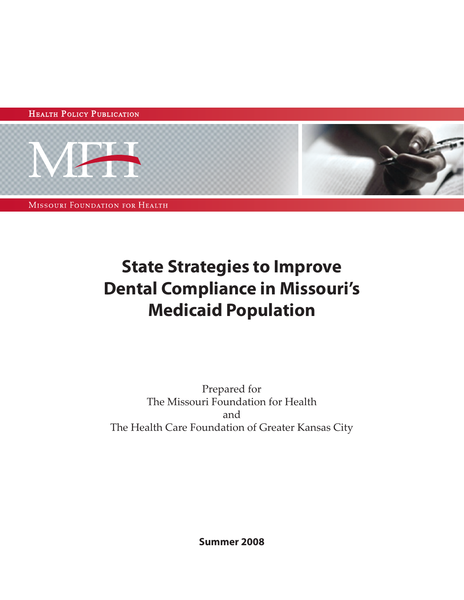HEALTH POLICY PUBLICATION



**MISSOURI FOUNDATION FOR HEALTH** 

# **State Strategies to Improve Dental Compliance in Missouri's Medicaid Population**

Prepared for The Missouri Foundation for Health and The Health Care Foundation of Greater Kansas City

**Summer 2008**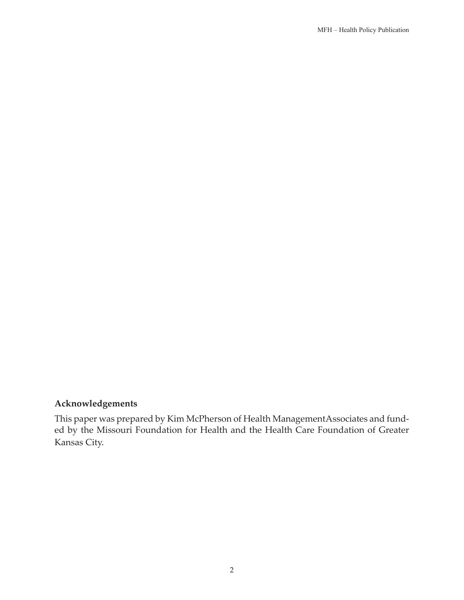### **Acknowledgements**

This paper was prepared by Kim McPherson of Health ManagementAssociates and funded by the Missouri Foundation for Health and the Health Care Foundation of Greater Kansas City.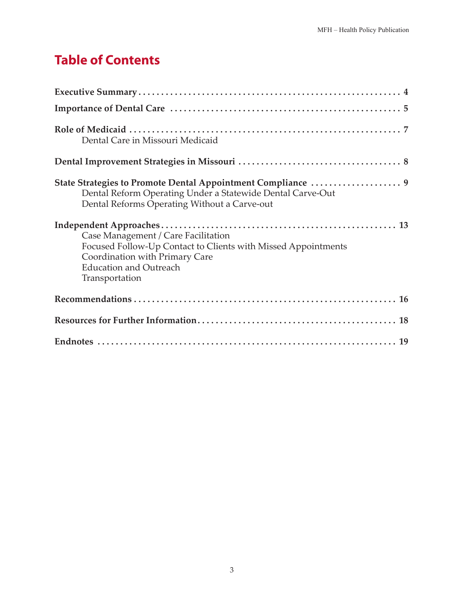# **Table of Contents**

| Dental Care in Missouri Medicaid                                                                                                                                                          |
|-------------------------------------------------------------------------------------------------------------------------------------------------------------------------------------------|
|                                                                                                                                                                                           |
| Dental Reform Operating Under a Statewide Dental Carve-Out<br>Dental Reforms Operating Without a Carve-out                                                                                |
| Case Management / Care Facilitation<br>Focused Follow-Up Contact to Clients with Missed Appointments<br>Coordination with Primary Care<br><b>Education and Outreach</b><br>Transportation |
|                                                                                                                                                                                           |
|                                                                                                                                                                                           |
|                                                                                                                                                                                           |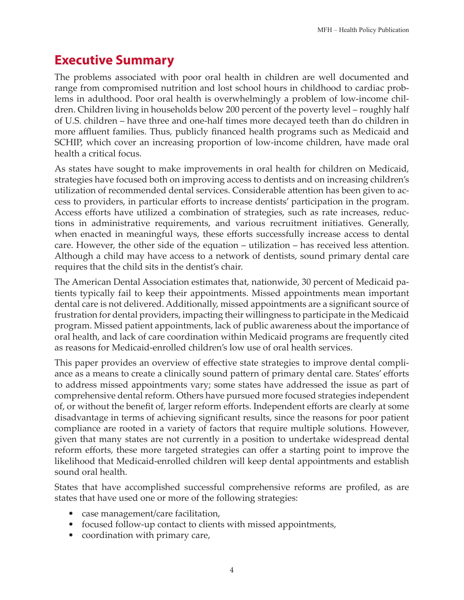# **Executive Summary**

The problems associated with poor oral health in children are well documented and range from compromised nutrition and lost school hours in childhood to cardiac problems in adulthood. Poor oral health is overwhelmingly a problem of low-income children. Children living in households below 200 percent of the poverty level – roughly half of U.S. children – have three and one-half times more decayed teeth than do children in more affluent families. Thus, publicly financed health programs such as Medicaid and SCHIP, which cover an increasing proportion of low-income children, have made oral health a critical focus.

As states have sought to make improvements in oral health for children on Medicaid, strategies have focused both on improving access to dentists and on increasing children's utilization of recommended dental services. Considerable attention has been given to access to providers, in particular efforts to increase dentists' participation in the program. Access efforts have utilized a combination of strategies, such as rate increases, reductions in administrative requirements, and various recruitment initiatives. Generally, when enacted in meaningful ways, these efforts successfully increase access to dental care. However, the other side of the equation – utilization – has received less attention. Although a child may have access to a network of dentists, sound primary dental care requires that the child sits in the dentist's chair.

The American Dental Association estimates that, nationwide, 30 percent of Medicaid patients typically fail to keep their appointments. Missed appointments mean important dental care is not delivered. Additionally, missed appointments are a significant source of frustration for dental providers, impacting their willingness to participate in the Medicaid program. Missed patient appointments, lack of public awareness about the importance of oral health, and lack of care coordination within Medicaid programs are frequently cited as reasons for Medicaid-enrolled children's low use of oral health services.

This paper provides an overview of effective state strategies to improve dental compliance as a means to create a clinically sound pattern of primary dental care. States' efforts to address missed appointments vary; some states have addressed the issue as part of comprehensive dental reform. Others have pursued more focused strategies independent of, or without the benefit of, larger reform efforts. Independent efforts are clearly at some disadvantage in terms of achieving significant results, since the reasons for poor patient compliance are rooted in a variety of factors that require multiple solutions. However, given that many states are not currently in a position to undertake widespread dental reform efforts, these more targeted strategies can offer a starting point to improve the likelihood that Medicaid-enrolled children will keep dental appointments and establish sound oral health.

States that have accomplished successful comprehensive reforms are profiled, as are states that have used one or more of the following strategies:

- case management/care facilitation,
- focused follow-up contact to clients with missed appointments,
- coordination with primary care,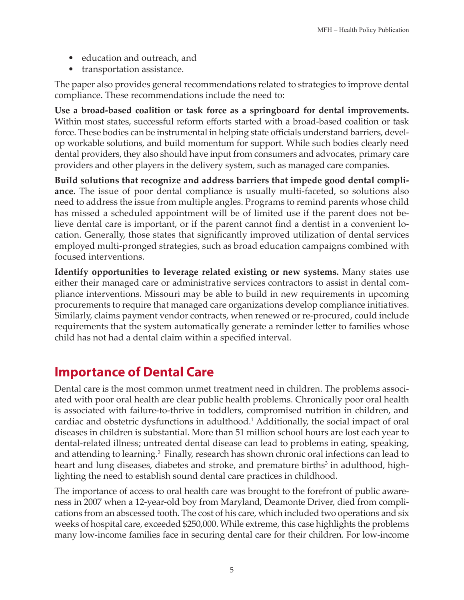- education and outreach, and
- transportation assistance.

The paper also provides general recommendations related to strategies to improve dental compliance. These recommendations include the need to:

**Use a broad-based coalition or task force as a springboard for dental improvements.** Within most states, successful reform efforts started with a broad-based coalition or task force. These bodies can be instrumental in helping state officials understand barriers, develop workable solutions, and build momentum for support. While such bodies clearly need dental providers, they also should have input from consumers and advocates, primary care providers and other players in the delivery system, such as managed care companies.

**Build solutions that recognize and address barriers that impede good dental compliance.** The issue of poor dental compliance is usually multi-faceted, so solutions also need to address the issue from multiple angles. Programs to remind parents whose child has missed a scheduled appointment will be of limited use if the parent does not believe dental care is important, or if the parent cannot find a dentist in a convenient location. Generally, those states that significantly improved utilization of dental services employed multi-pronged strategies, such as broad education campaigns combined with focused interventions.

**Identify opportunities to leverage related existing or new systems.** Many states use either their managed care or administrative services contractors to assist in dental compliance interventions. Missouri may be able to build in new requirements in upcoming procurements to require that managed care organizations develop compliance initiatives. Similarly, claims payment vendor contracts, when renewed or re-procured, could include requirements that the system automatically generate a reminder letter to families whose child has not had a dental claim within a specified interval.

# **Importance of Dental Care**

Dental care is the most common unmet treatment need in children. The problems associated with poor oral health are clear public health problems. Chronically poor oral health is associated with failure-to-thrive in toddlers, compromised nutrition in children, and cardiac and obstetric dysfunctions in adulthood.<sup>1</sup> Additionally, the social impact of oral diseases in children is substantial. More than 51 million school hours are lost each year to dental-related illness; untreated dental disease can lead to problems in eating, speaking, and attending to learning.<sup>2</sup> Finally, research has shown chronic oral infections can lead to heart and lung diseases, diabetes and stroke, and premature births<sup>3</sup> in adulthood, highlighting the need to establish sound dental care practices in childhood.

The importance of access to oral health care was brought to the forefront of public awareness in 2007 when a 12-year-old boy from Maryland, Deamonte Driver, died from complications from an abscessed tooth. The cost of his care, which included two operations and six weeks of hospital care, exceeded \$250,000. While extreme, this case highlights the problems many low-income families face in securing dental care for their children. For low-income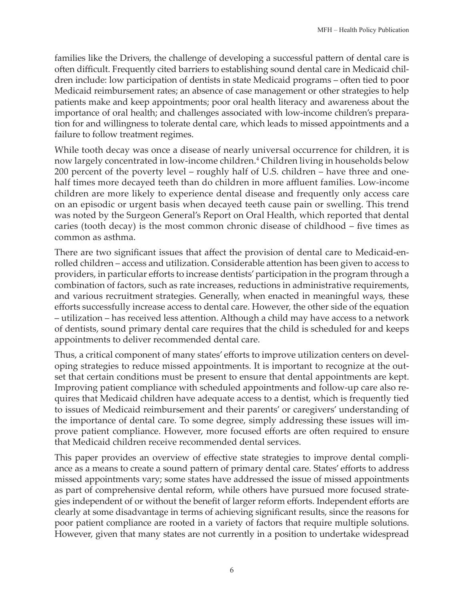families like the Drivers, the challenge of developing a successful pattern of dental care is often difficult. Frequently cited barriers to establishing sound dental care in Medicaid children include: low participation of dentists in state Medicaid programs – often tied to poor Medicaid reimbursement rates; an absence of case management or other strategies to help patients make and keep appointments; poor oral health literacy and awareness about the importance of oral health; and challenges associated with low-income children's preparation for and willingness to tolerate dental care, which leads to missed appointments and a failure to follow treatment regimes.

While tooth decay was once a disease of nearly universal occurrence for children, it is now largely concentrated in low-income children.4 Children living in households below 200 percent of the poverty level – roughly half of U.S. children – have three and onehalf times more decayed teeth than do children in more affluent families. Low-income children are more likely to experience dental disease and frequently only access care on an episodic or urgent basis when decayed teeth cause pain or swelling. This trend was noted by the Surgeon General's Report on Oral Health, which reported that dental caries (tooth decay) is the most common chronic disease of childhood – five times as common as asthma.

There are two significant issues that affect the provision of dental care to Medicaid-enrolled children – access and utilization. Considerable attention has been given to access to providers, in particular efforts to increase dentists' participation in the program through a combination of factors, such as rate increases, reductions in administrative requirements, and various recruitment strategies. Generally, when enacted in meaningful ways, these efforts successfully increase access to dental care. However, the other side of the equation – utilization – has received less attention. Although a child may have access to a network of dentists, sound primary dental care requires that the child is scheduled for and keeps appointments to deliver recommended dental care.

Thus, a critical component of many states' efforts to improve utilization centers on developing strategies to reduce missed appointments. It is important to recognize at the outset that certain conditions must be present to ensure that dental appointments are kept. Improving patient compliance with scheduled appointments and follow-up care also requires that Medicaid children have adequate access to a dentist, which is frequently tied to issues of Medicaid reimbursement and their parents' or caregivers' understanding of the importance of dental care. To some degree, simply addressing these issues will improve patient compliance. However, more focused efforts are often required to ensure that Medicaid children receive recommended dental services.

This paper provides an overview of effective state strategies to improve dental compliance as a means to create a sound pattern of primary dental care. States' efforts to address missed appointments vary; some states have addressed the issue of missed appointments as part of comprehensive dental reform, while others have pursued more focused strategies independent of or without the benefit of larger reform efforts. Independent efforts are clearly at some disadvantage in terms of achieving significant results, since the reasons for poor patient compliance are rooted in a variety of factors that require multiple solutions. However, given that many states are not currently in a position to undertake widespread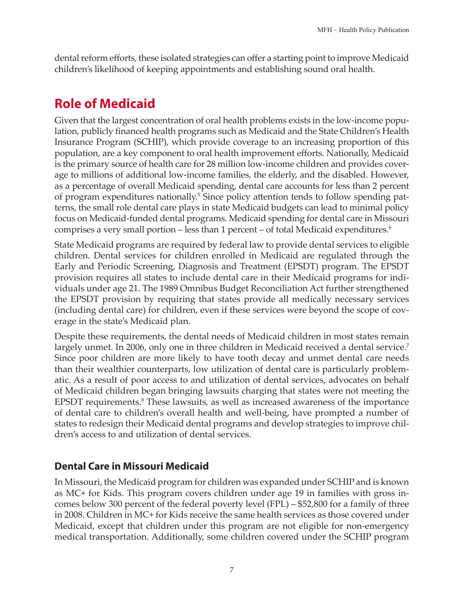dental reform efforts, these isolated strategies can offer a starting point to improve Medicaid children's likelihood of keeping appointments and establishing sound oral health.

# **Role of Medicaid**

Given that the largest concentration of oral health problems exists in the low-income population, publicly financed health programs such as Medicaid and the State Children's Health Insurance Program (SCHIP), which provide coverage to an increasing proportion of this population, are a key component to oral health improvement efforts. Nationally, Medicaid is the primary source of health care for 28 million low-income children and provides coverage to millions of additional low-income families, the elderly, and the disabled. However, as a percentage of overall Medicaid spending, dental care accounts for less than 2 percent of program expenditures nationally.<sup>5</sup> Since policy attention tends to follow spending patterns, the small role dental care plays in state Medicaid budgets can lead to minimal policy focus on Medicaid-funded dental programs. Medicaid spending for dental care in Missouri comprises a very small portion – less than 1 percent – of total Medicaid expenditures.<sup>6</sup>

State Medicaid programs are required by federal law to provide dental services to eligible children. Dental services for children enrolled in Medicaid are regulated through the Early and Periodic Screening, Diagnosis and Treatment (EPSDT) program. The EPSDT provision requires all states to include dental care in their Medicaid programs for individuals under age 21. The 1989 Omnibus Budget Reconciliation Act further strengthened the EPSDT provision by requiring that states provide all medically necessary services (including dental care) for children, even if these services were beyond the scope of coverage in the state's Medicaid plan.

Despite these requirements, the dental needs of Medicaid children in most states remain largely unmet. In 2006, only one in three children in Medicaid received a dental service.<sup>7</sup> Since poor children are more likely to have tooth decay and unmet dental care needs than their wealthier counterparts, low utilization of dental care is particularly problematic. As a result of poor access to and utilization of dental services, advocates on behalf of Medicaid children began bringing lawsuits charging that states were not meeting the EPSDT requirements.<sup>8</sup> These lawsuits, as well as increased awareness of the importance of dental care to children's overall health and well-being, have prompted a number of states to redesign their Medicaid dental programs and develop strategies to improve children's access to and utilization of dental services.

### **Dental Care in Missouri Medicaid**

In Missouri, the Medicaid program for children was expanded under SCHIP and is known as MC+ for Kids. This program covers children under age 19 in families with gross incomes below 300 percent of the federal poverty level (FPL) – \$52,800 for a family of three in 2008. Children in MC+ for Kids receive the same health services as those covered under Medicaid, except that children under this program are not eligible for non-emergency medical transportation. Additionally, some children covered under the SCHIP program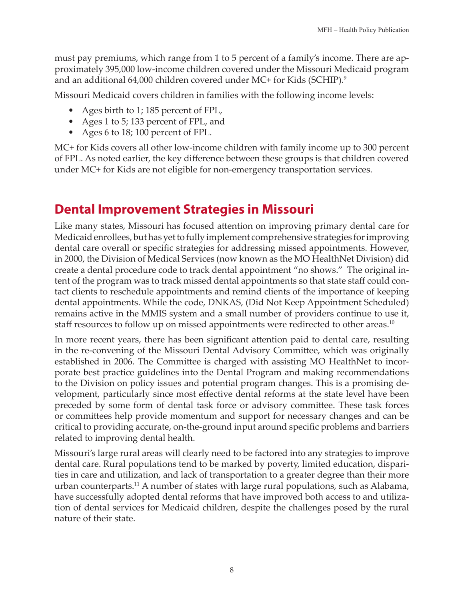must pay premiums, which range from 1 to 5 percent of a family's income. There are approximately 395,000 low-income children covered under the Missouri Medicaid program and an additional 64,000 children covered under MC+ for Kids (SCHIP).<sup>9</sup>

Missouri Medicaid covers children in families with the following income levels:

- Ages birth to 1; 185 percent of FPL,
- Ages 1 to 5; 133 percent of FPL, and
- Ages 6 to 18; 100 percent of FPL.

MC+ for Kids covers all other low-income children with family income up to 300 percent of FPL. As noted earlier, the key difference between these groups is that children covered under MC+ for Kids are not eligible for non-emergency transportation services.

# **Dental Improvement Strategies in Missouri**

Like many states, Missouri has focused attention on improving primary dental care for Medicaid enrollees, but has yet to fully implement comprehensive strategies for improving dental care overall or specific strategies for addressing missed appointments. However, in 2000, the Division of Medical Services (now known as the MO HealthNet Division) did create a dental procedure code to track dental appointment "no shows." The original intent of the program was to track missed dental appointments so that state staff could contact clients to reschedule appointments and remind clients of the importance of keeping dental appointments. While the code, DNKAS, (Did Not Keep Appointment Scheduled) remains active in the MMIS system and a small number of providers continue to use it, staff resources to follow up on missed appointments were redirected to other areas.<sup>10</sup>

In more recent years, there has been significant attention paid to dental care, resulting in the re-convening of the Missouri Dental Advisory Committee, which was originally established in 2006. The Committee is charged with assisting MO HealthNet to incorporate best practice guidelines into the Dental Program and making recommendations to the Division on policy issues and potential program changes. This is a promising development, particularly since most effective dental reforms at the state level have been preceded by some form of dental task force or advisory committee. These task forces or committees help provide momentum and support for necessary changes and can be critical to providing accurate, on-the-ground input around specific problems and barriers related to improving dental health.

Missouri's large rural areas will clearly need to be factored into any strategies to improve dental care. Rural populations tend to be marked by poverty, limited education, disparities in care and utilization, and lack of transportation to a greater degree than their more urban counterparts.<sup>11</sup> A number of states with large rural populations, such as Alabama, have successfully adopted dental reforms that have improved both access to and utilization of dental services for Medicaid children, despite the challenges posed by the rural nature of their state.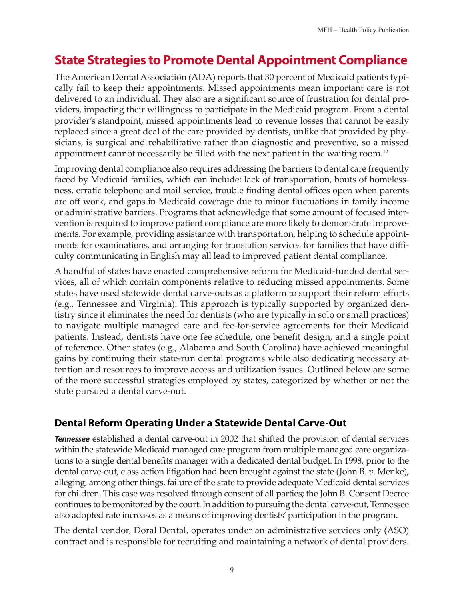# **State Strategies to Promote Dental Appointment Compliance**

The American Dental Association (ADA) reports that 30 percent of Medicaid patients typically fail to keep their appointments. Missed appointments mean important care is not delivered to an individual. They also are a significant source of frustration for dental providers, impacting their willingness to participate in the Medicaid program. From a dental provider's standpoint, missed appointments lead to revenue losses that cannot be easily replaced since a great deal of the care provided by dentists, unlike that provided by physicians, is surgical and rehabilitative rather than diagnostic and preventive, so a missed appointment cannot necessarily be filled with the next patient in the waiting room.<sup>12</sup>

Improving dental compliance also requires addressing the barriers to dental care frequently faced by Medicaid families, which can include: lack of transportation, bouts of homelessness, erratic telephone and mail service, trouble finding dental offices open when parents are off work, and gaps in Medicaid coverage due to minor fluctuations in family income or administrative barriers. Programs that acknowledge that some amount of focused intervention is required to improve patient compliance are more likely to demonstrate improvements. For example, providing assistance with transportation, helping to schedule appointments for examinations, and arranging for translation services for families that have difficulty communicating in English may all lead to improved patient dental compliance.

A handful of states have enacted comprehensive reform for Medicaid-funded dental services, all of which contain components relative to reducing missed appointments. Some states have used statewide dental carve-outs as a platform to support their reform efforts (e.g., Tennessee and Virginia). This approach is typically supported by organized dentistry since it eliminates the need for dentists (who are typically in solo or small practices) to navigate multiple managed care and fee-for-service agreements for their Medicaid patients. Instead, dentists have one fee schedule, one benefit design, and a single point of reference. Other states (e.g., Alabama and South Carolina) have achieved meaningful gains by continuing their state-run dental programs while also dedicating necessary attention and resources to improve access and utilization issues. Outlined below are some of the more successful strategies employed by states, categorized by whether or not the state pursued a dental carve-out.

### **Dental Reform Operating Under a Statewide Dental Carve-Out**

*Tennessee* established a dental carve-out in 2002 that shifted the provision of dental services within the statewide Medicaid managed care program from multiple managed care organizations to a single dental benefits manager with a dedicated dental budget. In 1998, prior to the dental carve-out, class action litigation had been brought against the state (John B. *v*. Menke), alleging, among other things, failure of the state to provide adequate Medicaid dental services for children. This case was resolved through consent of all parties; the John B. Consent Decree continues to be monitored by the court. In addition to pursuing the dental carve-out, Tennessee also adopted rate increases as a means of improving dentists' participation in the program.

The dental vendor, Doral Dental, operates under an administrative services only (ASO) contract and is responsible for recruiting and maintaining a network of dental providers.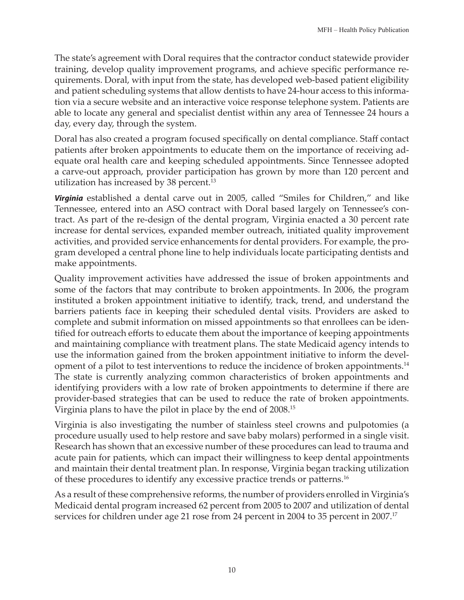The state's agreement with Doral requires that the contractor conduct statewide provider training, develop quality improvement programs, and achieve specific performance requirements. Doral, with input from the state, has developed web-based patient eligibility and patient scheduling systems that allow dentists to have 24-hour access to this information via a secure website and an interactive voice response telephone system. Patients are able to locate any general and specialist dentist within any area of Tennessee 24 hours a day, every day, through the system.

Doral has also created a program focused specifically on dental compliance. Staff contact patients after broken appointments to educate them on the importance of receiving adequate oral health care and keeping scheduled appointments. Since Tennessee adopted a carve-out approach, provider participation has grown by more than 120 percent and utilization has increased by 38 percent.<sup>13</sup>

*Virginia* established a dental carve out in 2005, called "Smiles for Children," and like Tennessee, entered into an ASO contract with Doral based largely on Tennessee's contract. As part of the re-design of the dental program, Virginia enacted a 30 percent rate increase for dental services, expanded member outreach, initiated quality improvement activities, and provided service enhancements for dental providers. For example, the program developed a central phone line to help individuals locate participating dentists and make appointments.

Quality improvement activities have addressed the issue of broken appointments and some of the factors that may contribute to broken appointments. In 2006, the program instituted a broken appointment initiative to identify, track, trend, and understand the barriers patients face in keeping their scheduled dental visits. Providers are asked to complete and submit information on missed appointments so that enrollees can be identified for outreach efforts to educate them about the importance of keeping appointments and maintaining compliance with treatment plans. The state Medicaid agency intends to use the information gained from the broken appointment initiative to inform the development of a pilot to test interventions to reduce the incidence of broken appointments.<sup>14</sup> The state is currently analyzing common characteristics of broken appointments and identifying providers with a low rate of broken appointments to determine if there are provider-based strategies that can be used to reduce the rate of broken appointments. Virginia plans to have the pilot in place by the end of 2008.<sup>15</sup>

Virginia is also investigating the number of stainless steel crowns and pulpotomies (a procedure usually used to help restore and save baby molars) performed in a single visit. Research has shown that an excessive number of these procedures can lead to trauma and acute pain for patients, which can impact their willingness to keep dental appointments and maintain their dental treatment plan. In response, Virginia began tracking utilization of these procedures to identify any excessive practice trends or patterns.<sup>16</sup>

As a result of these comprehensive reforms, the number of providers enrolled in Virginia's Medicaid dental program increased 62 percent from 2005 to 2007 and utilization of dental services for children under age 21 rose from 24 percent in 2004 to 35 percent in 2007. 17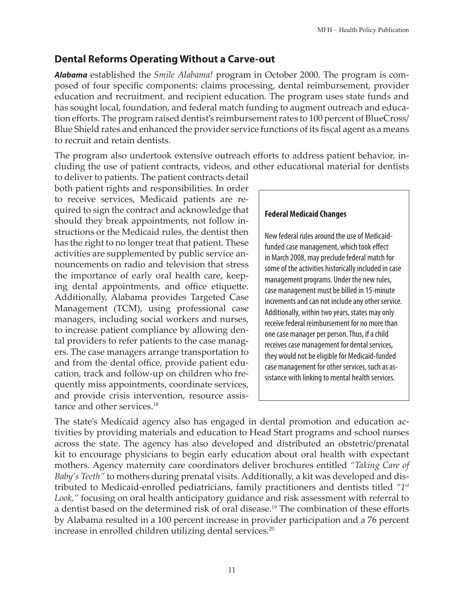### **Dental Reforms Operating Without a Carve-out**

*Alabama* established the *Smile Alabama!* program in October 2000. The program is composed of four specific components: claims processing, dental reimbursement, provider education and recruitment, and recipient education. The program uses state funds and has sought local, foundation, and federal match funding to augment outreach and education efforts. The program raised dentist's reimbursement rates to 100 percent of BlueCross/ Blue Shield rates and enhanced the provider service functions of its fiscal agent as a means to recruit and retain dentists.

The program also undertook extensive outreach efforts to address patient behavior, including the use of patient contracts, videos, and other educational material for dentists

to deliver to patients. The patient contracts detail both patient rights and responsibilities. In order to receive services, Medicaid patients are required to sign the contract and acknowledge that should they break appointments, not follow instructions or the Medicaid rules, the dentist then has the right to no longer treat that patient. These activities are supplemented by public service announcements on radio and television that stress the importance of early oral health care, keeping dental appointments, and office etiquette. Additionally, Alabama provides Targeted Case Management (TCM), using professional case managers, including social workers and nurses, to increase patient compliance by allowing dental providers to refer patients to the case managers. The case managers arrange transportation to and from the dental office, provide patient education, track and follow-up on children who frequently miss appointments, coordinate services, and provide crisis intervention, resource assistance and other services.<sup>18</sup>

#### **Federal Medicaid Changes**

New federal rules around the use of Medicaidfunded case management, which took effect in March 2008, may preclude federal match for some of the activities historically included in case management programs. Under the new rules, case management must be billed in 15-minute increments and can not include any other service. Additionally, within two years, states may only receive federal reimbursement for no more than one case manager per person. Thus, if a child receives case management for dental services, they would not be eligible for Medicaid-funded case management for other services, such as assistance with linking to mental health services.

The state's Medicaid agency also has engaged in dental promotion and education activities by providing materials and education to Head Start programs and school nurses across the state. The agency has also developed and distributed an obstetric/prenatal kit to encourage physicians to begin early education about oral health with expectant mothers. Agency maternity care coordinators deliver brochures entitled *"Taking Care of Baby's Teeth"* to mothers during prenatal visits. Additionally, a kit was developed and distributed to Medicaid-enrolled pediatricians, family practitioners and dentists titled *"1st Look,"* focusing on oral health anticipatory guidance and risk assessment with referral to a dentist based on the determined risk of oral disease.<sup>19</sup> The combination of these efforts by Alabama resulted in a 100 percent increase in provider participation and a 76 percent increase in enrolled children utilizing dental services.<sup>20</sup>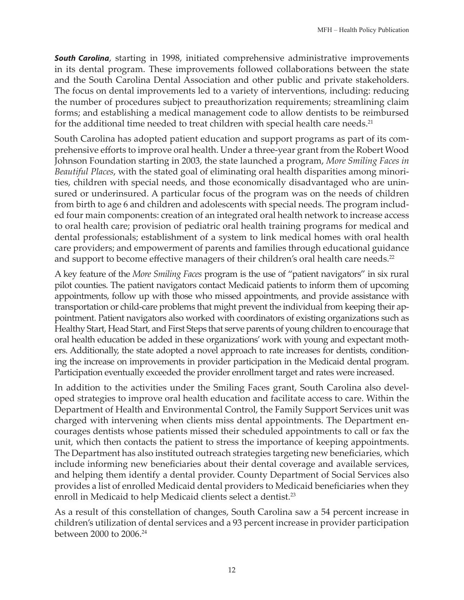**South Carolina**, starting in 1998, initiated comprehensive administrative improvements in its dental program. These improvements followed collaborations between the state and the South Carolina Dental Association and other public and private stakeholders. The focus on dental improvements led to a variety of interventions, including: reducing the number of procedures subject to preauthorization requirements; streamlining claim forms; and establishing a medical management code to allow dentists to be reimbursed for the additional time needed to treat children with special health care needs.<sup>21</sup>

South Carolina has adopted patient education and support programs as part of its comprehensive efforts to improve oral health. Under a three-year grant from the Robert Wood Johnson Foundation starting in 2003, the state launched a program, *More Smiling Faces in Beautiful Places*, with the stated goal of eliminating oral health disparities among minorities, children with special needs, and those economically disadvantaged who are uninsured or underinsured. A particular focus of the program was on the needs of children from birth to age 6 and children and adolescents with special needs. The program included four main components: creation of an integrated oral health network to increase access to oral health care; provision of pediatric oral health training programs for medical and dental professionals; establishment of a system to link medical homes with oral health care providers; and empowerment of parents and families through educational guidance and support to become effective managers of their children's oral health care needs.<sup>22</sup>

A key feature of the *More Smiling Faces* program is the use of "patient navigators" in six rural pilot counties. The patient navigators contact Medicaid patients to inform them of upcoming appointments, follow up with those who missed appointments, and provide assistance with transportation or child-care problems that might prevent the individual from keeping their appointment. Patient navigators also worked with coordinators of existing organizations such as Healthy Start, Head Start, and First Steps that serve parents of young children to encourage that oral health education be added in these organizations' work with young and expectant mothers. Additionally, the state adopted a novel approach to rate increases for dentists, conditioning the increase on improvements in provider participation in the Medicaid dental program. Participation eventually exceeded the provider enrollment target and rates were increased.

In addition to the activities under the Smiling Faces grant, South Carolina also developed strategies to improve oral health education and facilitate access to care. Within the Department of Health and Environmental Control, the Family Support Services unit was charged with intervening when clients miss dental appointments. The Department encourages dentists whose patients missed their scheduled appointments to call or fax the unit, which then contacts the patient to stress the importance of keeping appointments. The Department has also instituted outreach strategies targeting new beneficiaries, which include informing new beneficiaries about their dental coverage and available services, and helping them identify a dental provider. County Department of Social Services also provides a list of enrolled Medicaid dental providers to Medicaid beneficiaries when they enroll in Medicaid to help Medicaid clients select a dentist.<sup>23</sup>

As a result of this constellation of changes, South Carolina saw a 54 percent increase in children's utilization of dental services and a 93 percent increase in provider participation between 2000 to 2006.<sup>2</sup>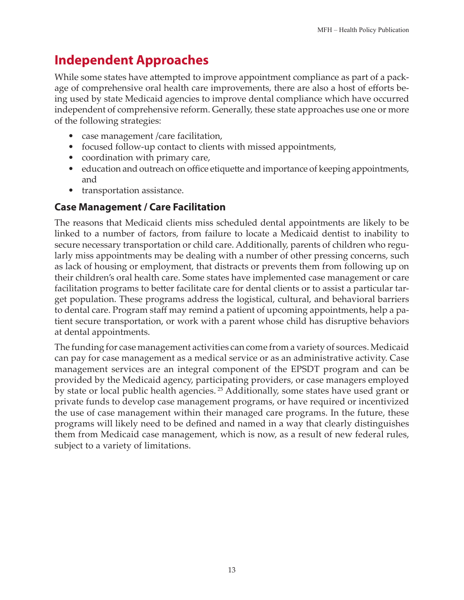# **Independent Approaches**

While some states have attempted to improve appointment compliance as part of a package of comprehensive oral health care improvements, there are also a host of efforts being used by state Medicaid agencies to improve dental compliance which have occurred independent of comprehensive reform. Generally, these state approaches use one or more of the following strategies:

- case management / care facilitation,
- focused follow-up contact to clients with missed appointments,
- coordination with primary care,
- education and outreach on office etiquette and importance of keeping appointments, and
- transportation assistance.

### **Case Management / Care Facilitation**

The reasons that Medicaid clients miss scheduled dental appointments are likely to be linked to a number of factors, from failure to locate a Medicaid dentist to inability to secure necessary transportation or child care. Additionally, parents of children who regularly miss appointments may be dealing with a number of other pressing concerns, such as lack of housing or employment, that distracts or prevents them from following up on their children's oral health care. Some states have implemented case management or care facilitation programs to better facilitate care for dental clients or to assist a particular target population. These programs address the logistical, cultural, and behavioral barriers to dental care. Program staff may remind a patient of upcoming appointments, help a patient secure transportation, or work with a parent whose child has disruptive behaviors at dental appointments.

The funding for case management activities can come from a variety of sources. Medicaid can pay for case management as a medical service or as an administrative activity. Case management services are an integral component of the EPSDT program and can be provided by the Medicaid agency, participating providers, or case managers employed by state or local public health agencies. <sup>25</sup> Additionally, some states have used grant or private funds to develop case management programs, or have required or incentivized the use of case management within their managed care programs. In the future, these programs will likely need to be defined and named in a way that clearly distinguishes them from Medicaid case management, which is now, as a result of new federal rules, subject to a variety of limitations.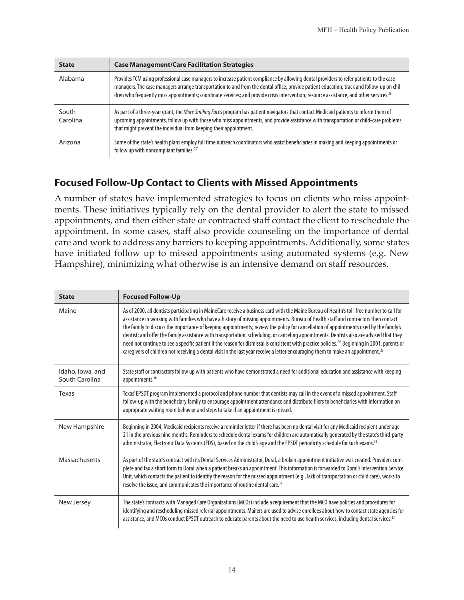| <b>State</b>      | <b>Case Management/Care Facilitation Strategies</b>                                                                                                                                                                                                                                                                                                                                                                                         |
|-------------------|---------------------------------------------------------------------------------------------------------------------------------------------------------------------------------------------------------------------------------------------------------------------------------------------------------------------------------------------------------------------------------------------------------------------------------------------|
| Alabama           | Provides TCM using professional case managers to increase patient compliance by allowing dental providers to refer patients to the case<br>managers. The case managers arrange transportation to and from the dental office; provide patient education; track and follow-up on chil-<br>dren who frequently miss appointments; coordinate services; and provide crisis intervention, resource assistance, and other services. <sup>26</sup> |
| South<br>Carolina | As part of a three-year grant, the More Smiling Faces program has patient navigators that contact Medicaid patients to inform them of<br>upcoming appointments, follow up with those who miss appointments, and provide assistance with transportation or child-care problems<br>that might prevent the individual from keeping their appointment.                                                                                          |
| Arizona           | Some of the state's health plans employ full time outreach coordinators who assist beneficiaries in making and keeping appointments or<br>follow up with noncompliant families. <sup>27</sup>                                                                                                                                                                                                                                               |

#### **Focused Follow-Up Contact to Clients with Missed Appointments**

A number of states have implemented strategies to focus on clients who miss appointments. These initiatives typically rely on the dental provider to alert the state to missed appointments, and then either state or contracted staff contact the client to reschedule the appointment. In some cases, staff also provide counseling on the importance of dental care and work to address any barriers to keeping appointments. Additionally, some states have initiated follow up to missed appointments using automated systems (e.g. New Hampshire), minimizing what otherwise is an intensive demand on staff resources.

| <b>State</b>                       | <b>Focused Follow-Up</b>                                                                                                                                                                                                                                                                                                                                                                                                                                                                                                                                                                                                                                                                                                                                                                                                                                                            |
|------------------------------------|-------------------------------------------------------------------------------------------------------------------------------------------------------------------------------------------------------------------------------------------------------------------------------------------------------------------------------------------------------------------------------------------------------------------------------------------------------------------------------------------------------------------------------------------------------------------------------------------------------------------------------------------------------------------------------------------------------------------------------------------------------------------------------------------------------------------------------------------------------------------------------------|
| Maine                              | As of 2000, all dentists participating in MaineCare receive a business card with the Maine Bureau of Health's toll-free number to call for<br>assistance in working with families who have a history of missing appointments. Bureau of Health staff and contractors then contact<br>the family to discuss the importance of keeping appointments; review the policy for cancellation of appointments used by the family's<br>dentist; and offer the family assistance with transportation, scheduling, or canceling appointments. Dentists also are advised that they<br>need not continue to see a specific patient if the reason for dismissal is consistent with practice policies. <sup>28</sup> Beginning in 2001, parents or<br>caregivers of children not receiving a dental visit in the last year receive a letter encouraging them to make an appointment. <sup>29</sup> |
| Idaho, Iowa, and<br>South Carolina | State staff or contractors follow up with patients who have demonstrated a need for additional education and assistance with keeping<br>appointments. <sup>30</sup>                                                                                                                                                                                                                                                                                                                                                                                                                                                                                                                                                                                                                                                                                                                 |
| Texas                              | Texas' EPSDT program implemented a protocol and phone number that dentists may call in the event of a missed appointment. Staff<br>follow-up with the beneficiary family to encourage appointment attendance and distribute fliers to beneficiaries with information on<br>appropriate waiting room behavior and steps to take if an appointment is missed.                                                                                                                                                                                                                                                                                                                                                                                                                                                                                                                         |
| New Hampshire                      | Beginning in 2004, Medicaid recipients receive a reminder letter if there has been no dental visit for any Medicaid recipient under age<br>21 in the previous nine months. Reminders to schedule dental exams for children are automatically generated by the state's third-party<br>administrator, Electronic Data Systems (EDS), based on the child's age and the EPSDT periodicity schedule for such exams. <sup>31</sup>                                                                                                                                                                                                                                                                                                                                                                                                                                                        |
| Massachusetts                      | As part of the state's contract with its Dental Services Administrator, Doral, a broken appointment initiative was created. Providers com-<br>plete and fax a short form to Doral when a patient breaks an appointment. This information is forwarded to Doral's Intervention Service<br>Unit, which contacts the patient to identify the reason for the missed appointment (e.g., lack of transportation or child care), works to<br>resolve the issue, and communicates the importance of routine dental care. <sup>32</sup>                                                                                                                                                                                                                                                                                                                                                      |
| New Jersey                         | The state's contracts with Managed Care Organizations (MCOs) include a requirement that the MCO have policies and procedures for<br>identifying and rescheduling missed referral appointments. Mailers are used to advise enrollees about how to contact state agencies for<br>assistance, and MCOs conduct EPSDT outreach to educate parents about the need to use health services, including dental services. <sup>33</sup>                                                                                                                                                                                                                                                                                                                                                                                                                                                       |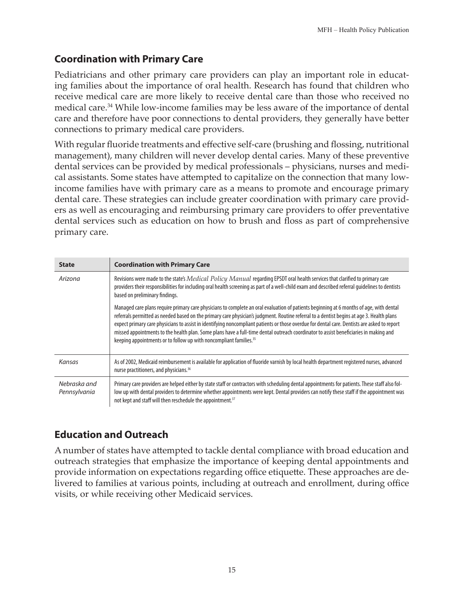### **Coordination with Primary Care**

Pediatricians and other primary care providers can play an important role in educating families about the importance of oral health. Research has found that children who receive medical care are more likely to receive dental care than those who received no medical care.34 While low-income families may be less aware of the importance of dental care and therefore have poor connections to dental providers, they generally have better connections to primary medical care providers.

With regular fluoride treatments and effective self-care (brushing and flossing, nutritional management), many children will never develop dental caries. Many of these preventive dental services can be provided by medical professionals – physicians, nurses and medical assistants. Some states have attempted to capitalize on the connection that many lowincome families have with primary care as a means to promote and encourage primary dental care. These strategies can include greater coordination with primary care providers as well as encouraging and reimbursing primary care providers to offer preventative dental services such as education on how to brush and floss as part of comprehensive primary care.

| <b>State</b>                 | <b>Coordination with Primary Care</b>                                                                                                                                                                                                                                                                                                                                                                                                                                                                                                                                                                                                                           |
|------------------------------|-----------------------------------------------------------------------------------------------------------------------------------------------------------------------------------------------------------------------------------------------------------------------------------------------------------------------------------------------------------------------------------------------------------------------------------------------------------------------------------------------------------------------------------------------------------------------------------------------------------------------------------------------------------------|
| Arizona                      | Revisions were made to the state's Medical Policy Manual regarding EPSDT oral health services that clarified to primary care<br>providers their responsibilities for including oral health screening as part of a well-child exam and described referral quidelines to dentists<br>based on preliminary findings.                                                                                                                                                                                                                                                                                                                                               |
|                              | Managed care plans require primary care physicians to complete an oral evaluation of patients beginning at 6 months of age, with dental<br>referrals permitted as needed based on the primary care physician's judgment. Routine referral to a dentist begins at age 3. Health plans<br>expect primary care physicians to assist in identifying noncompliant patients or those overdue for dental care. Dentists are asked to report<br>missed appointments to the health plan. Some plans have a full-time dental outreach coordinator to assist beneficiaries in making and<br>keeping appointments or to follow up with noncompliant families. <sup>35</sup> |
| Kansas                       | As of 2002, Medicaid reimbursement is available for application of fluoride varnish by local health department registered nurses, advanced<br>nurse practitioners, and physicians. <sup>36</sup>                                                                                                                                                                                                                                                                                                                                                                                                                                                                |
| Nebraska and<br>Pennsylvania | Primary care providers are helped either by state staff or contractors with scheduling dental appointments for patients. These staff also fol-<br>low up with dental providers to determine whether appointments were kept. Dental providers can notify these staff if the appointment was<br>not kept and staff will then reschedule the appointment. <sup>37</sup>                                                                                                                                                                                                                                                                                            |

### **Education and Outreach**

A number of states have attempted to tackle dental compliance with broad education and outreach strategies that emphasize the importance of keeping dental appointments and provide information on expectations regarding office etiquette. These approaches are delivered to families at various points, including at outreach and enrollment, during office visits, or while receiving other Medicaid services.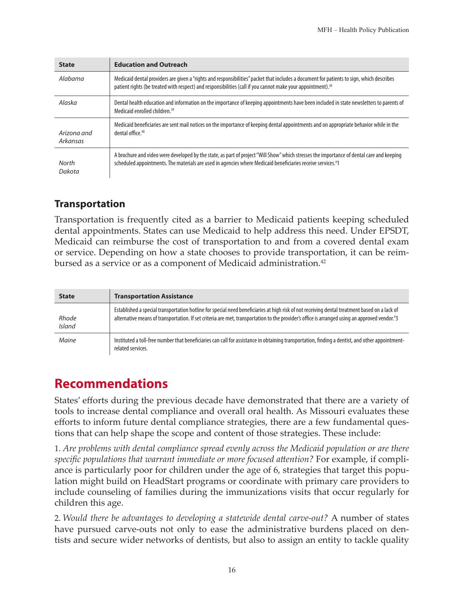| <b>State</b>            | <b>Education and Outreach</b>                                                                                                                                                                                                                                         |
|-------------------------|-----------------------------------------------------------------------------------------------------------------------------------------------------------------------------------------------------------------------------------------------------------------------|
| Alabama                 | Medicaid dental providers are given a "rights and responsibilities" packet that includes a document for patients to sign, which describes<br>patient rights (be treated with respect) and responsibilities (call if you cannot make your appointment). <sup>38</sup>  |
| Alaska                  | Dental health education and information on the importance of keeping appointments have been included in state newsletters to parents of<br>Medicaid enrolled children. <sup>39</sup>                                                                                  |
| Arizona and<br>Arkansas | Medicaid beneficiaries are sent mail notices on the importance of keeping dental appointments and on appropriate behavior while in the<br>dental office. <sup>40</sup>                                                                                                |
| North<br>Dakota         | A brochure and video were developed by the state, as part of project "Will Show" which stresses the importance of dental care and keeping<br>scheduled appointments. The materials are used in agencies where Medicaid beneficiaries receive services. <sup>4</sup> 1 |

#### **Transportation**

Transportation is frequently cited as a barrier to Medicaid patients keeping scheduled dental appointments. States can use Medicaid to help address this need. Under EPSDT, Medicaid can reimburse the cost of transportation to and from a covered dental exam or service. Depending on how a state chooses to provide transportation, it can be reimbursed as a service or as a component of Medicaid administration.<sup>42</sup>

| <b>State</b>           | <b>Transportation Assistance</b>                                                                                                                                                                                                                                                                           |
|------------------------|------------------------------------------------------------------------------------------------------------------------------------------------------------------------------------------------------------------------------------------------------------------------------------------------------------|
| Rhode<br><b>Island</b> | Established a special transportation hotline for special need beneficiaries at high risk of not receiving dental treatment based on a lack of<br>alternative means of transportation. If set criteria are met, transportation to the provider's office is arranged using an approved vendor. <sup>43</sup> |
| Maine                  | Instituted a toll-free number that beneficiaries can call for assistance in obtaining transportation, finding a dentist, and other appointment-<br>related services.                                                                                                                                       |

# **Recommendations**

States' efforts during the previous decade have demonstrated that there are a variety of tools to increase dental compliance and overall oral health. As Missouri evaluates these efforts to inform future dental compliance strategies, there are a few fundamental questions that can help shape the scope and content of those strategies. These include:

1. *Are problems with dental compliance spread evenly across the Medicaid population or are there specific populations that warrant immediate or more focused attention?* For example, if compliance is particularly poor for children under the age of 6, strategies that target this population might build on HeadStart programs or coordinate with primary care providers to include counseling of families during the immunizations visits that occur regularly for children this age.

2. *Would there be advantages to developing a statewide dental carve-out?* A number of states have pursued carve-outs not only to ease the administrative burdens placed on dentists and secure wider networks of dentists, but also to assign an entity to tackle quality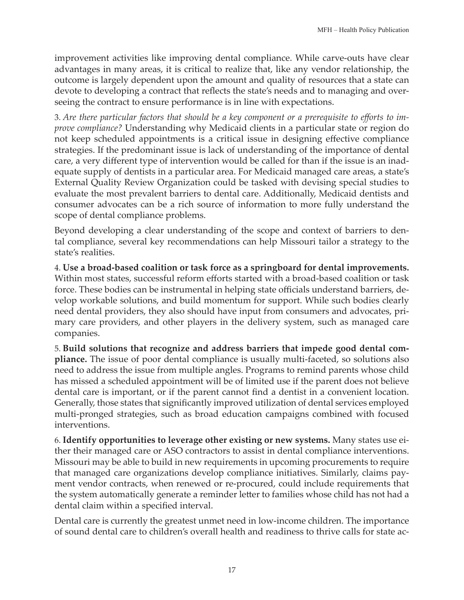improvement activities like improving dental compliance. While carve-outs have clear advantages in many areas, it is critical to realize that, like any vendor relationship, the outcome is largely dependent upon the amount and quality of resources that a state can devote to developing a contract that reflects the state's needs and to managing and overseeing the contract to ensure performance is in line with expectations.

3. *Are there particular factors that should be a key component or a prerequisite to efforts to improve compliance?* Understanding why Medicaid clients in a particular state or region do not keep scheduled appointments is a critical issue in designing effective compliance strategies. If the predominant issue is lack of understanding of the importance of dental care, a very different type of intervention would be called for than if the issue is an inadequate supply of dentists in a particular area. For Medicaid managed care areas, a state's External Quality Review Organization could be tasked with devising special studies to evaluate the most prevalent barriers to dental care. Additionally, Medicaid dentists and consumer advocates can be a rich source of information to more fully understand the scope of dental compliance problems.

Beyond developing a clear understanding of the scope and context of barriers to dental compliance, several key recommendations can help Missouri tailor a strategy to the state's realities.

4. **Use a broad-based coalition or task force as a springboard for dental improvements.** Within most states, successful reform efforts started with a broad-based coalition or task force. These bodies can be instrumental in helping state officials understand barriers, develop workable solutions, and build momentum for support. While such bodies clearly need dental providers, they also should have input from consumers and advocates, primary care providers, and other players in the delivery system, such as managed care companies.

5. **Build solutions that recognize and address barriers that impede good dental compliance.** The issue of poor dental compliance is usually multi-faceted, so solutions also need to address the issue from multiple angles. Programs to remind parents whose child has missed a scheduled appointment will be of limited use if the parent does not believe dental care is important, or if the parent cannot find a dentist in a convenient location. Generally, those states that significantly improved utilization of dental services employed multi-pronged strategies, such as broad education campaigns combined with focused interventions.

6. **Identify opportunities to leverage other existing or new systems.** Many states use either their managed care or ASO contractors to assist in dental compliance interventions. Missouri may be able to build in new requirements in upcoming procurements to require that managed care organizations develop compliance initiatives. Similarly, claims payment vendor contracts, when renewed or re-procured, could include requirements that the system automatically generate a reminder letter to families whose child has not had a dental claim within a specified interval.

Dental care is currently the greatest unmet need in low-income children. The importance of sound dental care to children's overall health and readiness to thrive calls for state ac-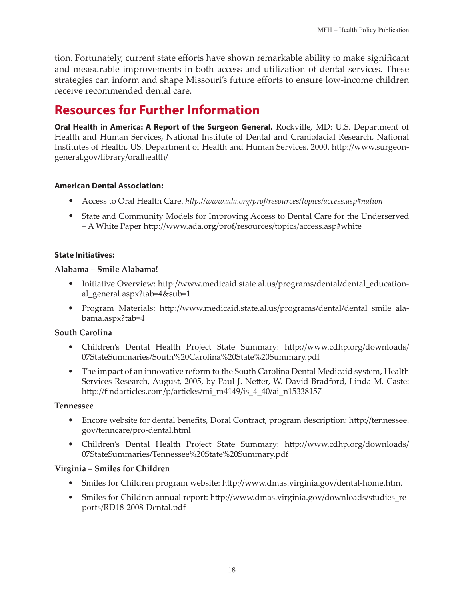tion. Fortunately, current state efforts have shown remarkable ability to make significant and measurable improvements in both access and utilization of dental services. These strategies can inform and shape Missouri's future efforts to ensure low-income children receive recommended dental care.

# **Resources for Further Information**

**Oral Health in America: A Report of the Surgeon General.** Rockville, MD: U.S. Department of Health and Human Services, National Institute of Dental and Craniofacial Research, National Institutes of Health, US. Department of Health and Human Services. 2000. http://www.surgeongeneral.gov/library/oralhealth/

#### **American Dental Association:**

- Access to Oral Health Care. *http://www.ada.org/prof/resources/topics/access.asp#nation*
- State and Community Models for Improving Access to Dental Care for the Underserved – A White Paper http://www.ada.org/prof/resources/topics/access.asp#white

#### **State Initiatives:**

#### **Alabama – Smile Alabama!**

- Initiative Overview: http://www.medicaid.state.al.us/programs/dental/dental\_educational\_general.aspx?tab=4&sub=1
- Program Materials: http://www.medicaid.state.al.us/programs/dental/dental\_smile\_alabama.aspx?tab=4

#### **South Carolina**

- Children's Dental Health Project State Summary: http://www.cdhp.org/downloads/ 07StateSummaries/South%20Carolina%20State%20Summary.pdf
- The impact of an innovative reform to the South Carolina Dental Medicaid system, Health Services Research, August, 2005, by Paul J. Netter, W. David Bradford, Linda M. Caste: http://findarticles.com/p/articles/mi\_m4149/is\_4\_40/ai\_n15338157

#### **Tennessee**

- Encore website for dental benefits, Doral Contract, program description: http://tennessee. gov/tenncare/pro-dental.html
- Children's Dental Health Project State Summary: http://www.cdhp.org/downloads/ 07StateSummaries/Tennessee%20State%20Summary.pdf

#### **Virginia – Smiles for Children**

- Smiles for Children program website: http://www.dmas.virginia.gov/dental-home.htm.
- Smiles for Children annual report: http://www.dmas.virginia.gov/downloads/studies\_reports/RD18-2008-Dental.pdf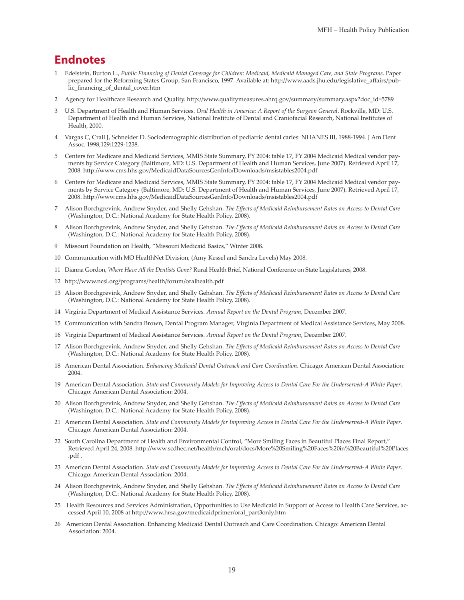#### **Endnotes**

- 1 Edelstein, Burton L., *Public Financing of Dental Coverage for Children: Medicaid, Medicaid Managed Care, and State Programs*. Paper prepared for the Reforming States Group, San Francisco, 1997. Available at: http://www.aads.jhu.edu/legislative\_affairs/public\_financing\_of\_dental\_cover.htm
- 2 Agency for Healthcare Research and Quality. http://www.qualitymeasures.ahrq.gov/summary/summary.aspx?doc\_id=5789
- 3 U.S. Department of Health and Human Services. *Oral Health in America: A Report of the Surgeon General*. Rockville, MD: U.S. Department of Health and Human Services, National Institute of Dental and Craniofacial Research, National Institutes of Health, 2000.
- 4 Vargas C, Crall J, Schneider D. Sociodemographic distribution of pediatric dental caries: NHANES III, 1988-1994. J Am Dent Assoc. 1998;129:1229-1238.
- 5 Centers for Medicare and Medicaid Services, MMIS State Summary, FY 2004: table 17, FY 2004 Medicaid Medical vendor payments by Service Category (Baltimore, MD: U.S. Department of Health and Human Services, June 2007). Retrieved April 17, 2008. http://www.cms.hhs.gov/MedicaidDataSourcesGenInfo/Downloads/msistables2004.pdf
- 6 Centers for Medicare and Medicaid Services, MMIS State Summary, FY 2004: table 17, FY 2004 Medicaid Medical vendor payments by Service Category (Baltimore, MD: U.S. Department of Health and Human Services, June 2007). Retrieved April 17, 2008. http://www.cms.hhs.gov/MedicaidDataSourcesGenInfo/Downloads/msistables2004.pdf
- 7 Alison Borchgrevink, Andrew Snyder, and Shelly Gehshan. *The Effects of Medicaid Reimbursement Rates on Access to Dental Care* (Washington, D.C.: National Academy for State Health Policy, 2008).
- 8 Alison Borchgrevink, Andrew Snyder, and Shelly Gehshan. *The Effects of Medicaid Reimbursement Rates on Access to Dental Care* (Washington, D.C.: National Academy for State Health Policy, 2008).
- 9 Missouri Foundation on Health, "Missouri Medicaid Basics," Winter 2008.
- 10 Communication with MO HealthNet Division, (Amy Kessel and Sandra Levels) May 2008.
- 11 Dianna Gordon, *Where Have All the Dentists Gone?* Rural Health Brief, National Conference on State Legislatures, 2008.
- 12 http://www.ncsl.org/programs/health/forum/oralhealth.pdf
- 13 Alison Borchgrevink, Andrew Snyder, and Shelly Gehshan. *The Effects of Medicaid Reimbursement Rates on Access to Dental Care* (Washington, D.C.: National Academy for State Health Policy, 2008).
- 14 Virginia Department of Medical Assistance Services*. Annual Report on the Dental Program*, December 2007.
- 15 Communication with Sandra Brown, Dental Program Manager, Virginia Department of Medical Assistance Services, May 2008.
- 16 Virginia Department of Medical Assistance Services*. Annual Report on the Dental Program*, December 2007.
- 17 Alison Borchgrevink, Andrew Snyder, and Shelly Gehshan. *The Effects of Medicaid Reimbursement Rates on Access to Dental Care* (Washington, D.C.: National Academy for State Health Policy, 2008).
- 18 American Dental Association. *Enhancing Medicaid Dental Outreach and Care Coordination*. Chicago: American Dental Association: 2004.
- 19 American Dental Association. *State and Community Models for Improving Access to Dental Care For the Underserved*-*A White Paper*. Chicago: American Dental Association: 2004.
- 20 Alison Borchgrevink, Andrew Snyder, and Shelly Gehshan. *The Effects of Medicaid Reimbursement Rates on Access to Dental Care* (Washington, D.C.: National Academy for State Health Policy, 2008).
- 21 American Dental Association. *State and Community Models for Improving Access to Dental Care For the Underserved*-*A White Paper*. Chicago: American Dental Association: 2004.
- 22 South Carolina Department of Health and Environmental Control, "More Smiling Faces in Beautiful Places Final Report," Retrieved April 24, 2008. http://www.scdhec.net/health/mch/oral/docs/More%20Smiling%20Faces%20in%20Beautiful%20Places .pdf .
- 23 American Dental Association. *State and Community Models for Improving Access to Dental Care For the Underserved*-*A White Paper*. Chicago: American Dental Association: 2004.
- 24 Alison Borchgrevink, Andrew Snyder, and Shelly Gehshan. *The Effects of Medicaid Reimbursement Rates on Access to Dental Care* (Washington, D.C.: National Academy for State Health Policy, 2008).
- 25 Health Resources and Services Administration, Opportunities to Use Medicaid in Support of Access to Health Care Services, accessed April 10, 2008 at http://www.hrsa.gov/medicaidprimer/oral\_part3only.htm
- 26 American Dental Association. Enhancing Medicaid Dental Outreach and Care Coordination. Chicago: American Dental Association: 2004.